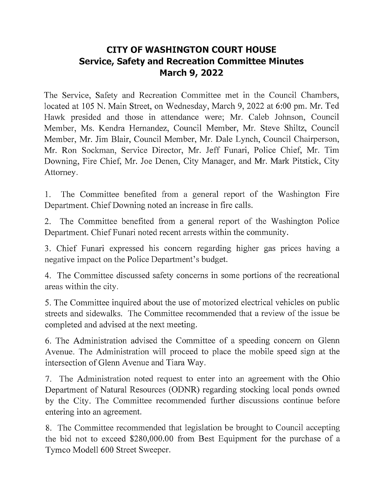## CITY OF WASHINGTON COURT HOUSE Service, Safety and Recreation Committee Minutes March 9, 2022

The Service, Safety and Recreation Committee met in the Council Chambers, located at 105 N. Main Street, on Wednesday, March 9, 2022 at 6:00 pm. Mr. Ted Hawk presided and those in attendance were; Mr. Caleb Johnson, Council Member, Ms. Kendra Hernandez, Council Member, Mr. Steve Shiltz, Council Member, Mr. Jim Blair, Council Member, Mr. Dale Lynch, Council Chairperson, Mr. Ron Sockman, Service Director, Mr. Jeff Funari, Police Chief, Mr. Tim Downing, Fire Chief, Mr. Joe Denen, City Manager, and Mr. Mark Pitstick, City Attorney.

1. The Committee benefited from a general report of the Washington Fire Department. Chief Downing noted an increase in fire calls.

2. The Committee benefited from a general report of the Washington Police Department. Chief Funari noted recent arrests within the community.

3. Chief Funari expressed his concern regarding higher gas prices having negative impact on the Police Department's budget.

4. The Committee discussed safety concerns in some portions of the recreational areas within the city.

5. The Committee inquired about the use of motorized electrical vehicles on public streets and sidewalks. The Committee recommended that a review of the issue be completed and advised at the next meeting.

6. The Administration advised the Committee of speeding concern on Glenn Avenue. The Administration will proceed to place the mobile speed sign at the intersection of Glenn Avenue and Tiara Way.

7. The Administration noted request to enter into an agreement with the Ohio Department of Natural Resources (ODNR) regarding stocking local ponds owned by the City. The Committee recommended further discussions continue before entering into an agreement.

8. The Committee recommended that legislation be brought to Council accepting the bid not to exceed \$280,000.00 from Best Equipment for the purchase of Tymco Modell 600 Street Sweeper.